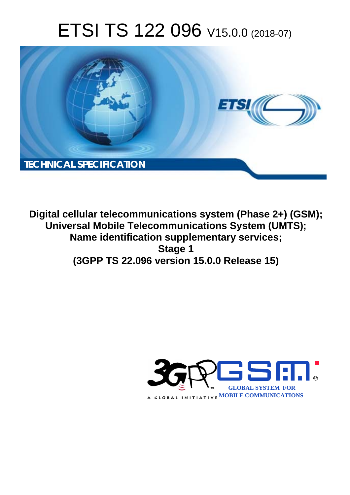# ETSI TS 122 096 V15.0.0 (2018-07)



**Digital cellular telecommunications system (Phase 2+) (GSM); Universal Mobile Telecommunications System (UMTS); Name identification supplementary services; Stage 1 (3GPP TS 22.096 version 15.0.0 Release 15)** 

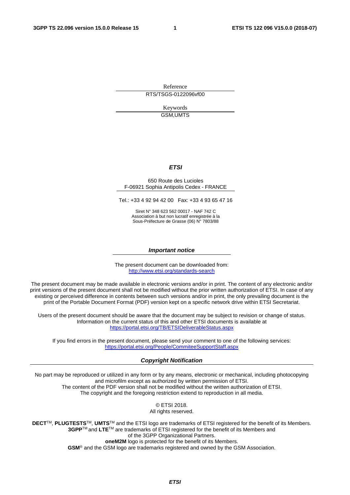Reference RTS/TSGS-0122096vf00

> Keywords GSM,UMTS

#### *ETSI*

#### 650 Route des Lucioles F-06921 Sophia Antipolis Cedex - FRANCE

Tel.: +33 4 92 94 42 00 Fax: +33 4 93 65 47 16

Siret N° 348 623 562 00017 - NAF 742 C Association à but non lucratif enregistrée à la Sous-Préfecture de Grasse (06) N° 7803/88

#### *Important notice*

The present document can be downloaded from: <http://www.etsi.org/standards-search>

The present document may be made available in electronic versions and/or in print. The content of any electronic and/or print versions of the present document shall not be modified without the prior written authorization of ETSI. In case of any existing or perceived difference in contents between such versions and/or in print, the only prevailing document is the print of the Portable Document Format (PDF) version kept on a specific network drive within ETSI Secretariat.

Users of the present document should be aware that the document may be subject to revision or change of status. Information on the current status of this and other ETSI documents is available at <https://portal.etsi.org/TB/ETSIDeliverableStatus.aspx>

If you find errors in the present document, please send your comment to one of the following services: <https://portal.etsi.org/People/CommiteeSupportStaff.aspx>

#### *Copyright Notification*

No part may be reproduced or utilized in any form or by any means, electronic or mechanical, including photocopying and microfilm except as authorized by written permission of ETSI. The content of the PDF version shall not be modified without the written authorization of ETSI. The copyright and the foregoing restriction extend to reproduction in all media.

> © ETSI 2018. All rights reserved.

**DECT**TM, **PLUGTESTS**TM, **UMTS**TM and the ETSI logo are trademarks of ETSI registered for the benefit of its Members. **3GPP**TM and **LTE**TM are trademarks of ETSI registered for the benefit of its Members and of the 3GPP Organizational Partners. **oneM2M** logo is protected for the benefit of its Members.

**GSM**® and the GSM logo are trademarks registered and owned by the GSM Association.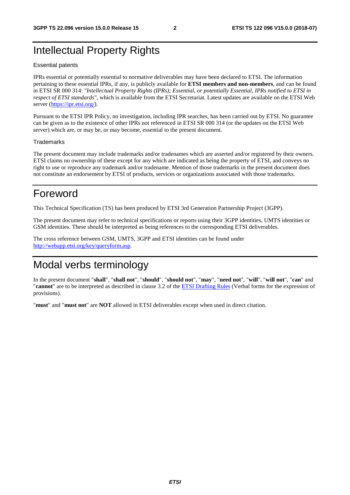## Intellectual Property Rights

#### Essential patents

IPRs essential or potentially essential to normative deliverables may have been declared to ETSI. The information pertaining to these essential IPRs, if any, is publicly available for **ETSI members and non-members**, and can be found in ETSI SR 000 314: *"Intellectual Property Rights (IPRs); Essential, or potentially Essential, IPRs notified to ETSI in respect of ETSI standards"*, which is available from the ETSI Secretariat. Latest updates are available on the ETSI Web server ([https://ipr.etsi.org/\)](https://ipr.etsi.org/).

Pursuant to the ETSI IPR Policy, no investigation, including IPR searches, has been carried out by ETSI. No guarantee can be given as to the existence of other IPRs not referenced in ETSI SR 000 314 (or the updates on the ETSI Web server) which are, or may be, or may become, essential to the present document.

#### **Trademarks**

The present document may include trademarks and/or tradenames which are asserted and/or registered by their owners. ETSI claims no ownership of these except for any which are indicated as being the property of ETSI, and conveys no right to use or reproduce any trademark and/or tradename. Mention of those trademarks in the present document does not constitute an endorsement by ETSI of products, services or organizations associated with those trademarks.

## Foreword

This Technical Specification (TS) has been produced by ETSI 3rd Generation Partnership Project (3GPP).

The present document may refer to technical specifications or reports using their 3GPP identities, UMTS identities or GSM identities. These should be interpreted as being references to the corresponding ETSI deliverables.

The cross reference between GSM, UMTS, 3GPP and ETSI identities can be found under [http://webapp.etsi.org/key/queryform.asp.](http://webapp.etsi.org/key/queryform.asp)

## Modal verbs terminology

In the present document "**shall**", "**shall not**", "**should**", "**should not**", "**may**", "**need not**", "**will**", "**will not**", "**can**" and "**cannot**" are to be interpreted as described in clause 3.2 of the [ETSI Drafting Rules](https://portal.etsi.org/Services/editHelp!/Howtostart/ETSIDraftingRules.aspx) (Verbal forms for the expression of provisions).

"**must**" and "**must not**" are **NOT** allowed in ETSI deliverables except when used in direct citation.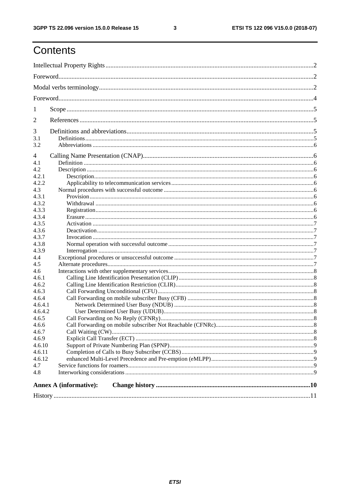$\mathbf{3}$ 

## Contents

| 1       |                               |  |  |  |  |  |
|---------|-------------------------------|--|--|--|--|--|
| 2       |                               |  |  |  |  |  |
| 3       |                               |  |  |  |  |  |
|         |                               |  |  |  |  |  |
| 3.1     |                               |  |  |  |  |  |
| 3.2     |                               |  |  |  |  |  |
| 4       |                               |  |  |  |  |  |
| 4.1     |                               |  |  |  |  |  |
| 4.2     |                               |  |  |  |  |  |
| 4.2.1   |                               |  |  |  |  |  |
| 4.2.2   |                               |  |  |  |  |  |
| 4.3     |                               |  |  |  |  |  |
| 4.3.1   |                               |  |  |  |  |  |
| 4.3.2   |                               |  |  |  |  |  |
| 4.3.3   |                               |  |  |  |  |  |
| 4.3.4   |                               |  |  |  |  |  |
| 4.3.5   |                               |  |  |  |  |  |
| 4.3.6   |                               |  |  |  |  |  |
| 4.3.7   |                               |  |  |  |  |  |
| 4.3.8   |                               |  |  |  |  |  |
| 4.3.9   |                               |  |  |  |  |  |
| 4.4     |                               |  |  |  |  |  |
| 4.5     |                               |  |  |  |  |  |
| 4.6     |                               |  |  |  |  |  |
| 4.6.1   |                               |  |  |  |  |  |
| 4.6.2   |                               |  |  |  |  |  |
| 4.6.3   |                               |  |  |  |  |  |
| 4.6.4   |                               |  |  |  |  |  |
| 4.6.4.1 |                               |  |  |  |  |  |
| 4.6.4.2 |                               |  |  |  |  |  |
| 4.6.5   |                               |  |  |  |  |  |
| 4.6.6   |                               |  |  |  |  |  |
| 4.6.7   |                               |  |  |  |  |  |
| 4.6.9   |                               |  |  |  |  |  |
| 4.6.10  |                               |  |  |  |  |  |
| 4.6.11  |                               |  |  |  |  |  |
| 4.6.12  |                               |  |  |  |  |  |
| 4.7     |                               |  |  |  |  |  |
| 4.8     |                               |  |  |  |  |  |
|         | <b>Annex A (informative):</b> |  |  |  |  |  |
|         |                               |  |  |  |  |  |
|         |                               |  |  |  |  |  |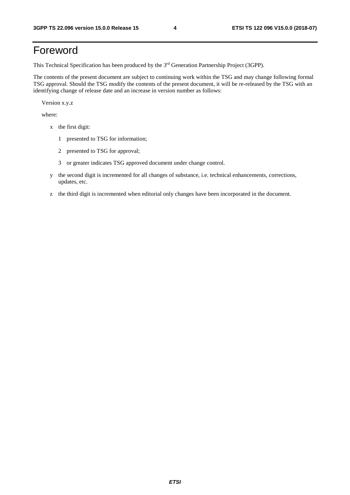## Foreword

This Technical Specification has been produced by the 3rd Generation Partnership Project (3GPP).

The contents of the present document are subject to continuing work within the TSG and may change following formal TSG approval. Should the TSG modify the contents of the present document, it will be re-released by the TSG with an identifying change of release date and an increase in version number as follows:

Version x.y.z

where:

- x the first digit:
	- 1 presented to TSG for information;
	- 2 presented to TSG for approval;
	- 3 or greater indicates TSG approved document under change control.
- y the second digit is incremented for all changes of substance, i.e. technical enhancements, corrections, updates, etc.
- z the third digit is incremented when editorial only changes have been incorporated in the document.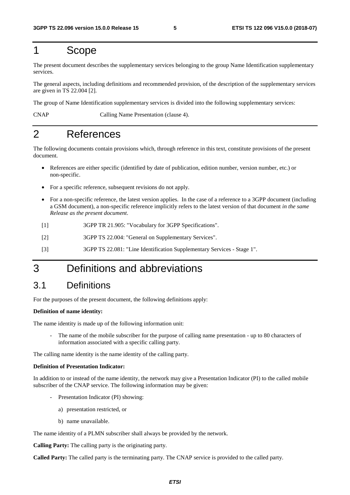## 1 Scope

The present document describes the supplementary services belonging to the group Name Identification supplementary services.

The general aspects, including definitions and recommended provision, of the description of the supplementary services are given in TS 22.004 [2].

The group of Name Identification supplementary services is divided into the following supplementary services:

CNAP Calling Name Presentation (clause 4).

## 2 References

The following documents contain provisions which, through reference in this text, constitute provisions of the present document.

- References are either specific (identified by date of publication, edition number, version number, etc.) or non-specific.
- For a specific reference, subsequent revisions do not apply.
- For a non-specific reference, the latest version applies. In the case of a reference to a 3GPP document (including a GSM document), a non-specific reference implicitly refers to the latest version of that document *in the same Release as the present document*.
- [1] 3GPP TR 21.905: "Vocabulary for 3GPP Specifications".
- [2] 3GPP TS 22.004: "General on Supplementary Services".
- [3] 3GPP TS 22.081: "Line Identification Supplementary Services Stage 1".

## 3 Definitions and abbreviations

## 3.1 Definitions

For the purposes of the present document, the following definitions apply:

#### **Definition of name identity:**

The name identity is made up of the following information unit:

The name of the mobile subscriber for the purpose of calling name presentation - up to 80 characters of information associated with a specific calling party.

The calling name identity is the name identity of the calling party.

#### **Definition of Presentation Indicator:**

In addition to or instead of the name identity, the network may give a Presentation Indicator (PI) to the called mobile subscriber of the CNAP service. The following information may be given:

- Presentation Indicator (PI) showing:
	- a) presentation restricted, or
	- b) name unavailable.

The name identity of a PLMN subscriber shall always be provided by the network.

**Calling Party:** The calling party is the originating party.

**Called Party:** The called party is the terminating party. The CNAP service is provided to the called party.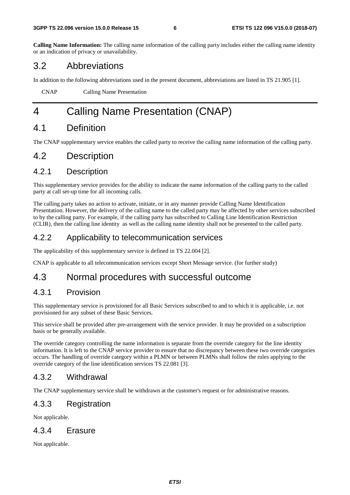**Calling Name Information:** The calling name information of the calling party includes either the calling name identity or an indication of privacy or unavailability.

## 3.2 Abbreviations

In addition to the following abbreviations used in the present document, abbreviations are listed in TS 21.905 [1].

CNAP Calling Name Presentation

## 4 Calling Name Presentation (CNAP)

## 4.1 Definition

The CNAP supplementary service enables the called party to receive the calling name information of the calling party.

## 4.2 Description

## 4.2.1 Description

This supplementary service provides for the ability to indicate the name information of the calling party to the called party at call set-up time for all incoming calls.

The calling party takes no action to activate, initiate, or in any manner provide Calling Name Identification Presentation. However, the delivery of the calling name to the called party may be affected by other services subscribed to by the calling party. For example, if the calling party has subscribed to Calling Line Identification Restriction (CLIR), then the calling line identity as well as the calling name identity shall not be presented to the called party.

### 4.2.2 Applicability to telecommunication services

The applicability of this supplementary service is defined in TS 22.004 [2].

CNAP is applicable to all telecommunication services except Short Message service. (for further study)

## 4.3 Normal procedures with successful outcome

### 4.3.1 Provision

This supplementary service is provisioned for all Basic Services subscribed to and to which it is applicable, i.e. not provisioned for any subset of these Basic Services.

This service shall be provided after pre-arrangement with the service provider. It may be provided on a subscription basis or be generally available.

The override category controlling the name information is separate from the override category for the line identity information. It is left to the CNAP service provider to ensure that no discrepancy between these two override categories occurs. The handling of override category within a PLMN or between PLMNs shall follow the rules applying to the override category of the line identification services TS 22.081 [3].

#### 4.3.2 Withdrawal

The CNAP supplementary service shall be withdrawn at the customer's request or for administrative reasons.

### 4.3.3 Registration

Not applicable.

#### 4.3.4 Erasure

Not applicable.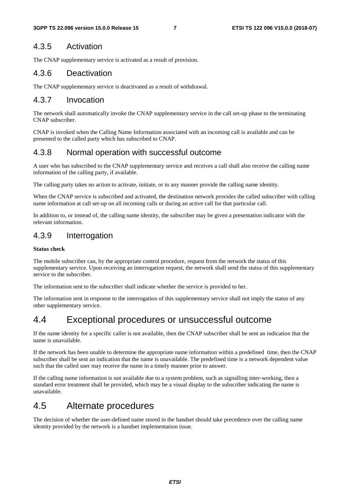### 4.3.5 Activation

The CNAP supplementary service is activated as a result of provision.

### 4.3.6 Deactivation

The CNAP supplementary service is deactivated as a result of withdrawal.

### 4.3.7 Invocation

The network shall automatically invoke the CNAP supplementary service in the call set-up phase to the terminating CNAP subscriber.

CNAP is invoked when the Calling Name Information associated with an incoming call is available and can be presented to the called party which has subscribed to CNAP.

### 4.3.8 Normal operation with successful outcome

A user who has subscribed to the CNAP supplementary service and receives a call shall also receive the calling name information of the calling party, if available.

The calling party takes no action to activate, initiate, or in any manner provide the calling name identity.

When the CNAP service is subscribed and activated, the destination network provides the called subscriber with calling name information at call set-up on all incoming calls or during an active call for that particular call.

In addition to, or instead of, the calling name identity, the subscriber may be given a presentation indicator with the relevant information.

### 4.3.9 Interrogation

#### **Status check**

The mobile subscriber can, by the appropriate control procedure, request from the network the status of this supplementary service. Upon receiving an interrogation request, the network shall send the status of this supplementary service to the subscriber.

The information sent to the subscriber shall indicate whether the service is provided to her.

The information sent in response to the interrogation of this supplementary service shall not imply the status of any other supplementary service.

## 4.4 Exceptional procedures or unsuccessful outcome

If the name identity for a specific caller is not available, then the CNAP subscriber shall be sent an indication that the name is unavailable.

If the network has been unable to determine the appropriate name information within a predefined time, then the CNAP subscriber shall be sent an indication that the name is unavailable. The predefined time is a network dependent value such that the called user may receive the name in a timely manner prior to answer.

If the calling name information is not available due to a system problem, such as signalling inter-working, then a standard error treatment shall be provided, which may be a visual display to the subscriber indicating the name is unavailable.

## 4.5 Alternate procedures

The decision of whether the user-defined name stored in the handset should take precedence over the calling name identity provided by the network is a handset implementation issue.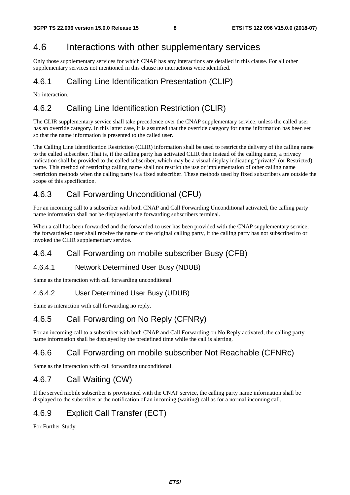## 4.6 Interactions with other supplementary services

Only those supplementary services for which CNAP has any interactions are detailed in this clause. For all other supplementary services not mentioned in this clause no interactions were identified.

## 4.6.1 Calling Line Identification Presentation (CLIP)

No interaction.

## 4.6.2 Calling Line Identification Restriction (CLIR)

The CLIR supplementary service shall take precedence over the CNAP supplementary service, unless the called user has an override category. In this latter case, it is assumed that the override category for name information has been set so that the name information is presented to the called user.

The Calling Line Identification Restriction (CLIR) information shall be used to restrict the delivery of the calling name to the called subscriber. That is, if the calling party has activated CLIR then instead of the calling name, a privacy indication shall be provided to the called subscriber, which may be a visual display indicating "private" (or Restricted) name. This method of restricting calling name shall not restrict the use or implementation of other calling name restriction methods when the calling party is a fixed subscriber. These methods used by fixed subscribers are outside the scope of this specification.

## 4.6.3 Call Forwarding Unconditional (CFU)

For an incoming call to a subscriber with both CNAP and Call Forwarding Unconditional activated, the calling party name information shall not be displayed at the forwarding subscribers terminal.

When a call has been forwarded and the forwarded-to user has been provided with the CNAP supplementary service, the forwarded-to user shall receive the name of the original calling party, if the calling party has not subscribed to or invoked the CLIR supplementary service.

## 4.6.4 Call Forwarding on mobile subscriber Busy (CFB)

#### 4.6.4.1 Network Determined User Busy (NDUB)

Same as the interaction with call forwarding unconditional.

#### 4.6.4.2 User Determined User Busy (UDUB)

Same as interaction with call forwarding no reply.

## 4.6.5 Call Forwarding on No Reply (CFNRy)

For an incoming call to a subscriber with both CNAP and Call Forwarding on No Reply activated, the calling party name information shall be displayed by the predefined time while the call is alerting.

## 4.6.6 Call Forwarding on mobile subscriber Not Reachable (CFNRc)

Same as the interaction with call forwarding unconditional.

## 4.6.7 Call Waiting (CW)

If the served mobile subscriber is provisioned with the CNAP service, the calling party name information shall be displayed to the subscriber at the notification of an incoming (waiting) call as for a normal incoming call.

## 4.6.9 Explicit Call Transfer (ECT)

For Further Study.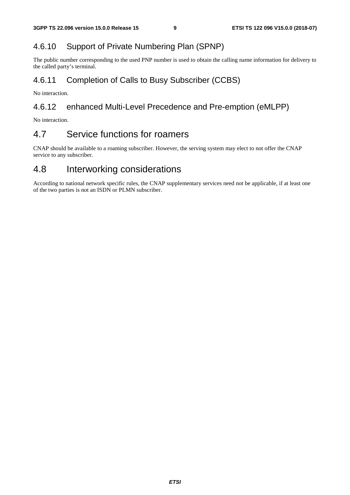## 4.6.10 Support of Private Numbering Plan (SPNP)

The public number corresponding to the used PNP number is used to obtain the calling name information for delivery to the called party's terminal.

## 4.6.11 Completion of Calls to Busy Subscriber (CCBS)

No interaction.

## 4.6.12 enhanced Multi-Level Precedence and Pre-emption (eMLPP)

No interaction.

## 4.7 Service functions for roamers

CNAP should be available to a roaming subscriber. However, the serving system may elect to not offer the CNAP service to any subscriber.

## 4.8 Interworking considerations

According to national network specific rules, the CNAP supplementary services need not be applicable, if at least one of the two parties is not an ISDN or PLMN subscriber.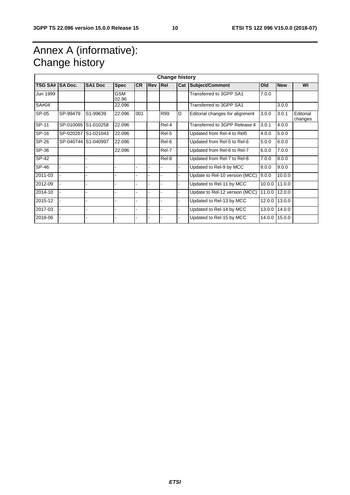## Annex A (informative): Change history

| <b>Change history</b> |                |                     |                     |           |            |       |     |                                 |        |            |                      |
|-----------------------|----------------|---------------------|---------------------|-----------|------------|-------|-----|---------------------------------|--------|------------|----------------------|
| <b>TSG SA#</b>        | <b>SA Doc.</b> | <b>SA1 Doc</b>      | <b>Spec</b>         | <b>CR</b> | <b>Rev</b> | Rel   | Cat | Subject/Comment                 | Old    | <b>New</b> | WI                   |
| Jun 1999              |                |                     | <b>GSM</b><br>02.96 |           |            |       |     | Transferred to 3GPP SA1         | 7.0.0  |            |                      |
| SA#04                 |                |                     | 22.096              |           |            |       |     | Transferred to 3GPP SA1         |        | 3.0.0      |                      |
| SP-05                 | SP-99479       | S1-99639            | 22.096              | 001       |            | R99   | D   | Editorial changes for alignment | 3.0.0  | 3.0.1      | Editorial<br>changes |
| SP-11                 |                | SP-010065 S1-010258 | 22.096              |           |            | Rel-4 |     | Transferred to 3GPP Release 4   | 3.0.1  | 4.0.0      |                      |
| SP-16                 | SP-020267      | S1-021043           | 22.096              |           |            | Rel-5 |     | Updated from Rel-4 to Rel5      | 4.0.0  | 5.0.0      |                      |
| SP-26                 |                | SP-040744 S1-040997 | 22.096              |           |            | Rel-6 |     | Updated from Rel-5 to Rel-6     | 5.0.0  | 6.0.0      |                      |
| SP-36                 |                |                     | 22.096              |           |            | Rel-7 |     | Updated from Rel-6 to Rel-7     | 6.0.0  | 7.0.0      |                      |
| $SP-42$               |                |                     |                     |           |            | Rel-8 |     | Updated from Rel-7 to Rel-8     | 7.0.0  | 8.0.0      |                      |
| $SP-46$               |                |                     |                     |           |            |       |     | Updated to Rel-9 by MCC         | 8.0.0  | 9.0.0      |                      |
| 2011-03               |                |                     |                     |           |            |       |     | Update to Rel-10 version (MCC)  | 9.0.0  | 10.0.0     |                      |
| 2012-09               |                |                     |                     |           |            |       |     | Updated to Rel-11 by MCC        | 10.0.0 | 11.0.0     |                      |
| 2014-10               |                |                     |                     |           |            | ÷.    |     | Update to Rel-12 version (MCC)  | 11.0.0 | 12.0.0     |                      |
| 2015-12               |                |                     |                     |           |            |       |     | Updated to Rel-13 by MCC        | 12.0.0 | 13.0.0     |                      |
| 2017-03               |                | ۰                   |                     |           |            |       |     | Updated to Rel-14 by MCC        | 13.0.0 | 14.0.0     |                      |
| 2018-06               |                |                     |                     |           |            |       |     | Updated to Rel-15 by MCC        | 14.0.0 | 15.0.0     |                      |